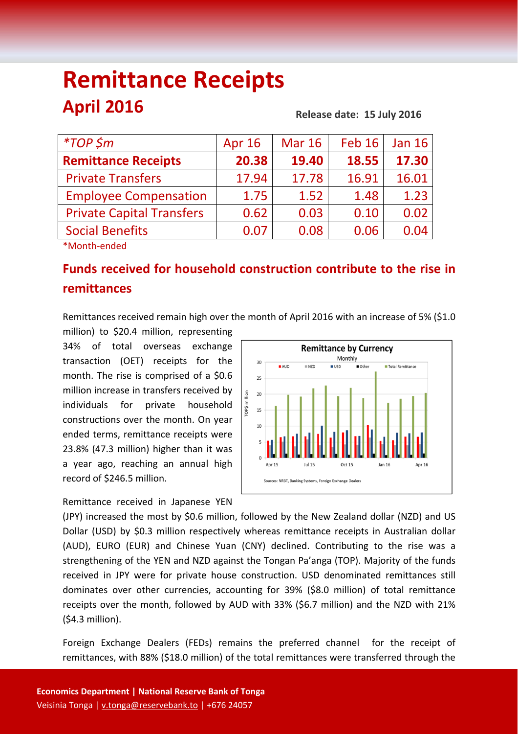# **Remittance Receipts April 2016**

#### **Release date: 15 July 2016**

| <i>*TOP</i> \$m                  | Apr 16 | <b>Mar 16</b> | Feb 16 | <b>Jan 16</b> |
|----------------------------------|--------|---------------|--------|---------------|
| <b>Remittance Receipts</b>       | 20.38  | 19.40         | 18.55  | 17.30         |
| <b>Private Transfers</b>         | 17.94  | 17.78         | 16.91  | 16.01         |
| <b>Employee Compensation</b>     | 1.75   | 1.52          | 1.48   | 1.23          |
| <b>Private Capital Transfers</b> | 0.62   | 0.03          | 0.10   | 0.02          |
| <b>Social Benefits</b>           | 0.07   | 0.08          | 0.06   | 0.04          |
|                                  |        |               |        |               |

\*Month‐ended

# **Funds received for household construction contribute to the rise in remittances**

Remittances received remain high over the month of April 2016 with an increase of 5% (\$1.0

million) to \$20.4 million, representing 34% of total overseas exchange transaction (OET) receipts for the month. The rise is comprised of a \$0.6 million increase in transfers received by individuals for private household constructions over the month. On year ended terms, remittance receipts were 23.8% (47.3 million) higher than it was a year ago, reaching an annual high record of \$246.5 million.

Remittance received in Japanese YEN



(JPY) increased the most by \$0.6 million, followed by the New Zealand dollar (NZD) and US Dollar (USD) by \$0.3 million respectively whereas remittance receipts in Australian dollar (AUD), EURO (EUR) and Chinese Yuan (CNY) declined. Contributing to the rise was a strengthening of the YEN and NZD against the Tongan Pa'anga (TOP). Majority of the funds received in JPY were for private house construction. USD denominated remittances still dominates over other currencies, accounting for 39% (\$8.0 million) of total remittance receipts over the month, followed by AUD with 33% (\$6.7 million) and the NZD with 21% (\$4.3 million).

Foreign Exchange Dealers (FEDs) remains the preferred channel for the receipt of remittances, with 88% (\$18.0 million) of the total remittances were transferred through the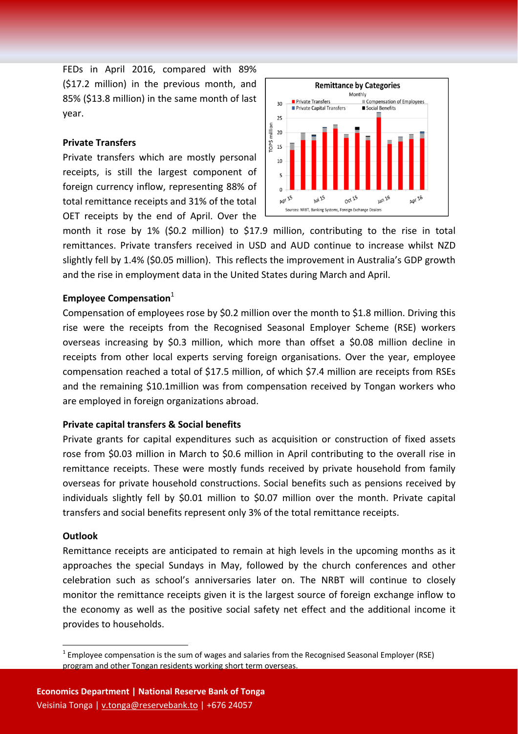FEDs in April 2016, compared with 89% (\$17.2 million) in the previous month, and 85% (\$13.8 million) in the same month of last year.

## **Private Transfers**

Private transfers which are mostly personal receipts, is still the largest component of foreign currency inflow, representing 88% of total remittance receipts and 31% of the total OET receipts by the end of April. Over the



month it rose by 1% (\$0.2 million) to \$17.9 million, contributing to the rise in total remittances. Private transfers received in USD and AUD continue to increase whilst NZD slightly fell by 1.4% (\$0.05 million). This reflects the improvement in Australia's GDP growth and the rise in employment data in the United States during March and April.

# **Employee Compensation**<sup>1</sup>

Compensation of employees rose by \$0.2 million over the month to \$1.8 million. Driving this rise were the receipts from the Recognised Seasonal Employer Scheme (RSE) workers overseas increasing by \$0.3 million, which more than offset a \$0.08 million decline in receipts from other local experts serving foreign organisations. Over the year, employee compensation reached a total of \$17.5 million, of which \$7.4 million are receipts from RSEs and the remaining \$10.1million was from compensation received by Tongan workers who are employed in foreign organizations abroad.

#### **Private capital transfers & Social benefits**

Private grants for capital expenditures such as acquisition or construction of fixed assets rose from \$0.03 million in March to \$0.6 million in April contributing to the overall rise in remittance receipts. These were mostly funds received by private household from family overseas for private household constructions. Social benefits such as pensions received by individuals slightly fell by \$0.01 million to \$0.07 million over the month. Private capital transfers and social benefits represent only 3% of the total remittance receipts.

#### **Outlook**

Remittance receipts are anticipated to remain at high levels in the upcoming months as it approaches the special Sundays in May, followed by the church conferences and other celebration such as school's anniversaries later on. The NRBT will continue to closely monitor the remittance receipts given it is the largest source of foreign exchange inflow to the economy as well as the positive social safety net effect and the additional income it provides to households.

 $1$  Employee compensation is the sum of wages and salaries from the Recognised Seasonal Employer (RSE) program and other Tongan residents working short term overseas.